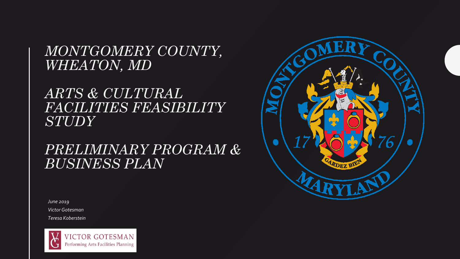*MONTGOMERY COUNTY, WHEATON, MD* 

### *ARTS & CULTURAL FACILITIES FEASIBILITY STUDY*

### *PRELIMINARY PROGRAM & BUSINESS PLAN*



*June 2019 Victor Gotesman Teresa Koberstein*

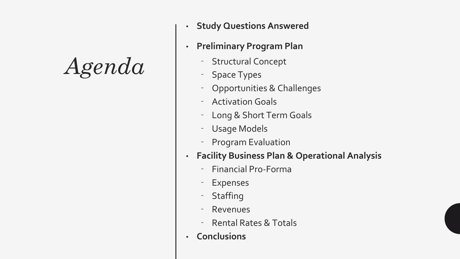## *Agenda*

- **Study Questions Answered**
- **Preliminary Program Plan**
	- ⁻ Structural Concept
	- Space Types
	- ⁻ Opportunities & Challenges
	- **Activation Goals**
	- Long & Short Term Goals
	- Usage Models
	- ⁻ Program Evaluation
- **Facility Business Plan & Operational Analysis**
	- ⁻ Financial Pro-Forma
	- **Expenses**
	- **Staffing**
	- **Revenues**
	- ⁻ Rental Rates & Totals
- **Conclusions**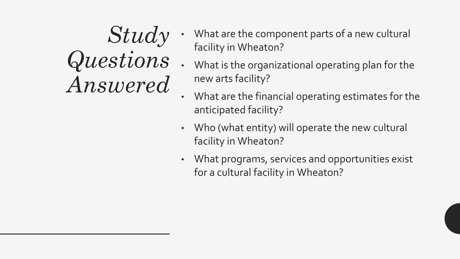## *Study Questions Answered*

- What are the component parts of a new cultural facility in Wheaton?
- What is the organizational operating plan for the new arts facility?
- What are the financial operating estimates for the anticipated facility?
- Who (what entity) will operate the new cultural facility in Wheaton?
- What programs, services and opportunities exist for a cultural facility in Wheaton?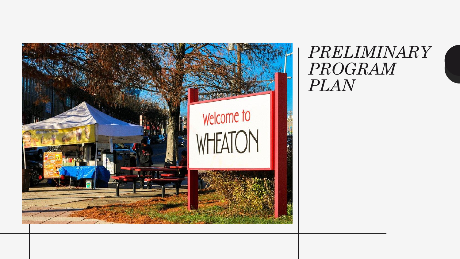

*PRELIMINARY PROGRAM PLAN*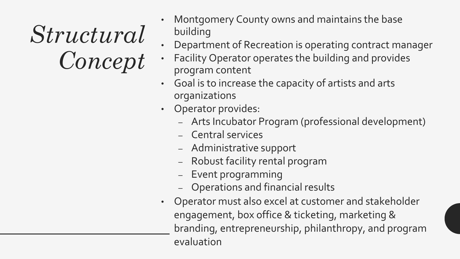# *Structural Concept*

- Montgomery County owns and maintains the base building
- Department of Recreation is operating contract manager
- Facility Operator operates the building and provides program content
- Goal is to increase the capacity of artists and arts organizations
- Operator provides:
	- Arts Incubator Program (professional development)
	- Central services
	- Administrative support
	- Robust facility rental program
	- Event programming
	- Operations and financial results
- Operator must also excel at customer and stakeholder engagement, box office & ticketing, marketing & branding, entrepreneurship, philanthropy, and program evaluation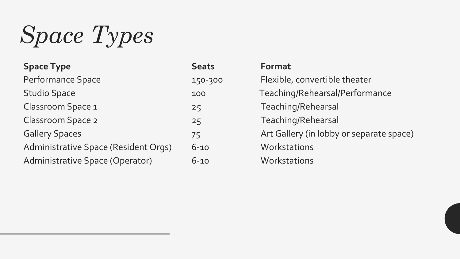*Space Types*

| <b>Space Type</b>                    | <b>Seats</b> | Format                                   |
|--------------------------------------|--------------|------------------------------------------|
| Performance Space                    | 150-300      | Flexible, convertible theater            |
| <b>Studio Space</b>                  | 100          | Teaching/Rehearsal/Performance           |
| Classroom Space 1                    | 25           | Teaching/Rehearsal                       |
| <b>Classroom Space 2</b>             | 25           | Teaching/Rehearsal                       |
| <b>Gallery Spaces</b>                | 75           | Art Gallery (in lobby or separate space) |
| Administrative Space (Resident Orgs) | $6 - 10$     | Workstations                             |
| Administrative Space (Operator)      | $6 - 10$     | Workstations                             |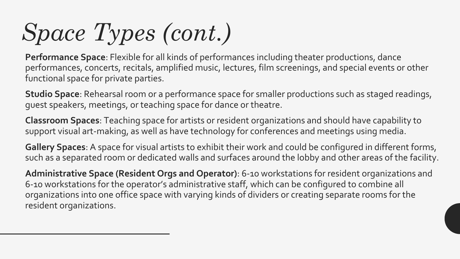# *Space Types (cont.)*

**Performance Space**: Flexible for all kinds of performances including theater productions, dance performances, concerts, recitals, amplified music, lectures, film screenings, and special events or other functional space for private parties.

**Studio Space**: Rehearsal room or a performance space for smaller productions such as staged readings, guest speakers, meetings, or teaching space for dance or theatre.

**Classroom Spaces**: Teaching space for artists or resident organizations and should have capability to support visual art-making, as well as have technology for conferences and meetings using media.

**Gallery Spaces**: A space for visual artists to exhibit their work and could be configured in different forms, such as a separated room or dedicated walls and surfaces around the lobby and other areas of the facility.

**Administrative Space (Resident Orgs and Operator)**: 6-10 workstations for resident organizations and 6-10 workstations for the operator's administrative staff, which can be configured to combine all organizations into one office space with varying kinds of dividers or creating separate rooms for the resident organizations.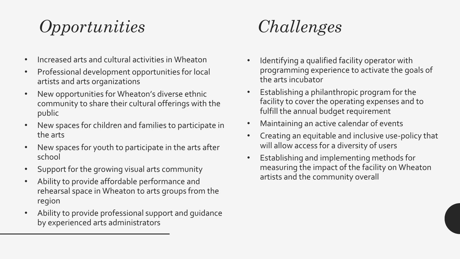### *Opportunities*

- Increased arts and cultural activities in Wheaton
- Professional development opportunities for local artists and arts organizations
- New opportunities for Wheaton's diverse ethnic community to share their cultural offerings with the public
- New spaces for children and families to participate in the arts
- New spaces for youth to participate in the arts after school
- Support for the growing visual arts community
- Ability to provide affordable performance and rehearsal space in Wheaton to arts groups from the region
- Ability to provide professional support and guidance by experienced arts administrators

### *Challenges*

- Identifying a qualified facility operator with programming experience to activate the goals of the arts incubator
- Establishing a philanthropic program for the facility to cover the operating expenses and to fulfill the annual budget requirement
- Maintaining an active calendar of events
- Creating an equitable and inclusive use-policy that will allow access for a diversity of users
- Establishing and implementing methods for measuring the impact of the facility on Wheaton artists and the community overall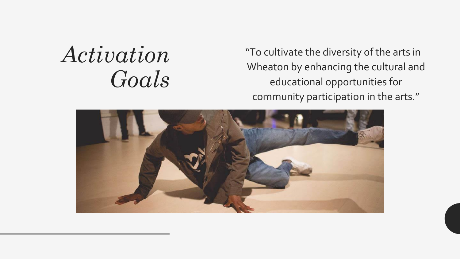## *Activation Goals*

"To cultivate the diversity of the arts in Wheaton by enhancing the cultural and educational opportunities for community participation in the arts."

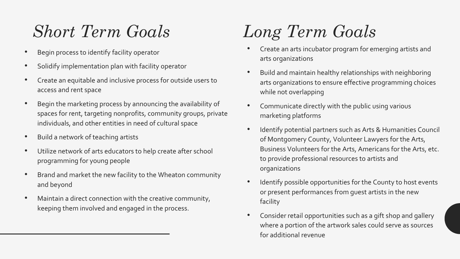### *Short Term Goals*

- Begin process to identify facility operator
- Solidify implementation plan with facility operator
- Create an equitable and inclusive process for outside users to access and rent space
- Begin the marketing process by announcing the availability of spaces for rent, targeting nonprofits, community groups, private individuals, and other entities in need of cultural space
- Build a network of teaching artists
- Utilize network of arts educators to help create after school programming for young people
- Brand and market the new facility to the Wheaton community and beyond
- Maintain a direct connection with the creative community, keeping them involved and engaged in the process.

### *Long Term Goals*

- Create an arts incubator program for emerging artists and arts organizations
- Build and maintain healthy relationships with neighboring arts organizations to ensure effective programming choices while not overlapping
- Communicate directly with the public using various marketing platforms
- Identify potential partners such as Arts & Humanities Council of Montgomery County, Volunteer Lawyers for the Arts, Business Volunteers for the Arts, Americans for the Arts, etc. to provide professional resources to artists and organizations
- Identify possible opportunities for the County to host events or present performances from guest artists in the new facility
- Consider retail opportunities such as a gift shop and gallery where a portion of the artwork sales could serve as sources for additional revenue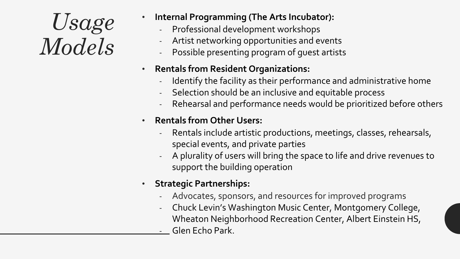## *Usage Models*

- **Internal Programming (The Arts Incubator):**
	- ‐ Professional development workshops
	- ‐ Artist networking opportunities and events
	- ‐ Possible presenting program of guest artists

#### • **Rentals from Resident Organizations:**

- Identify the facility as their performance and administrative home
- Selection should be an inclusive and equitable process
- Rehearsal and performance needs would be prioritized before others

#### • **Rentals from Other Users:**

- Rentals include artistic productions, meetings, classes, rehearsals, special events, and private parties
- ‐ A plurality of users will bring the space to life and drive revenues to support the building operation
- **Strategic Partnerships:** 
	- Advocates, sponsors, and resources for improved programs
	- ‐ Chuck Levin's Washington Music Center, Montgomery College, Wheaton Neighborhood Recreation Center, Albert Einstein HS,
	- ‐ Glen Echo Park.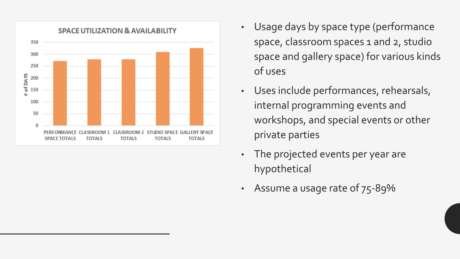

- Usage days by space type (performance space, classroom spaces 1 and 2, studio space and gallery space) for various kinds of uses
- Uses include performances, rehearsals, internal programming events and workshops, and special events or other private parties
- The projected events per year are hypothetical
- Assume a usage rate of 75-89%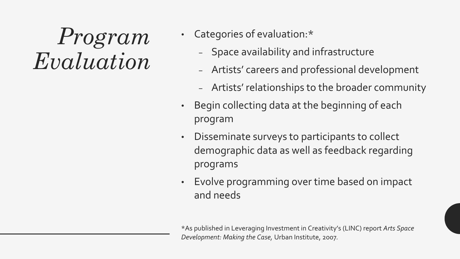## *Program Evaluation*

- Categories of evaluation:\*
	- − Space availability and infrastructure
	- − Artists' careers and professional development
	- − Artists' relationships to the broader community
- Begin collecting data at the beginning of each program
- Disseminate surveys to participants to collect demographic data as well as feedback regarding programs
- Evolve programming over time based on impact and needs

\*As published in Leveraging Investment in Creativity's (LINC) report *Arts Space Development: Making the Case,* Urban Institute, 2007*.*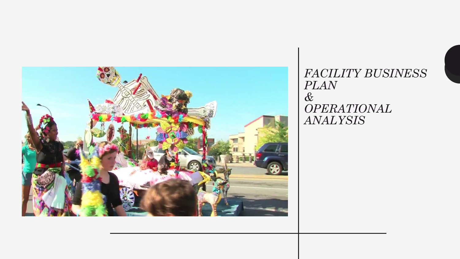

*FACILITY BUSINESS PLAN & OPERATIONAL ANALYSIS*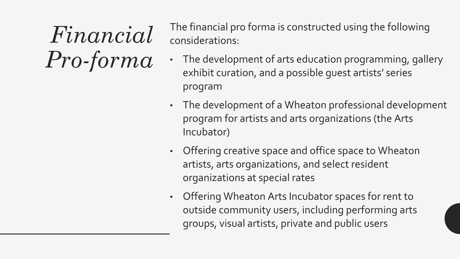*Financial Pro-forma*

The financial pro forma is constructed using the following considerations:

- The development of arts education programming, gallery exhibit curation, and a possible guest artists' series program
- The development of a Wheaton professional development program for artists and arts organizations (the Arts Incubator)
- Offering creative space and office space to Wheaton artists, arts organizations, and select resident organizations at special rates
- Offering Wheaton Arts Incubator spaces for rent to outside community users, including performing arts groups, visual artists, private and public users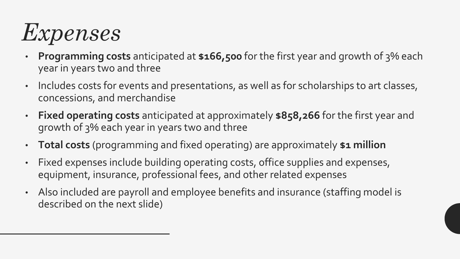

- **Programming costs** anticipated at **\$166,500** for the first year and growth of 3% each year in years two and three
- Includes costs for events and presentations, as well as for scholarships to art classes, concessions, and merchandise
- **Fixed operating costs** anticipated at approximately **\$858,266** for the first year and growth of 3% each year in years two and three
- **Total costs** (programming and fixed operating) are approximately **\$1 million**
- Fixed expenses include building operating costs, office supplies and expenses, equipment, insurance, professional fees, and other related expenses
- Also included are payroll and employee benefits and insurance (staffing model is described on the next slide)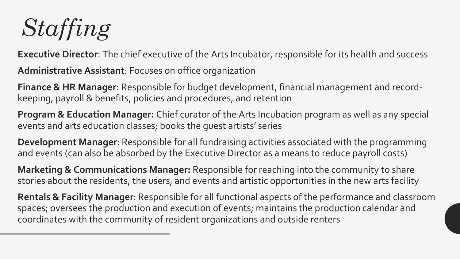*Staffing*

**Executive Director**: The chief executive of the Arts Incubator, responsible for its health and success

**Administrative Assistant**: Focuses on office organization

**Finance & HR Manager:** Responsible for budget development, financial management and recordkeeping, payroll & benefits, policies and procedures, and retention

**Program & Education Manager:** Chief curator of the Arts Incubation program as well as any special events and arts education classes; books the guest artists' series

**Development Manager**: Responsible for all fundraising activities associated with the programming and events (can also be absorbed by the Executive Director as a means to reduce payroll costs)

**Marketing & Communications Manager:** Responsible for reaching into the community to share stories about the residents, the users, and events and artistic opportunities in the new arts facility

**Rentals & Facility Manager**: Responsible for all functional aspects of the performance and classroom spaces; oversees the production and execution of events; maintains the production calendar and coordinates with the community of resident organizations and outside renters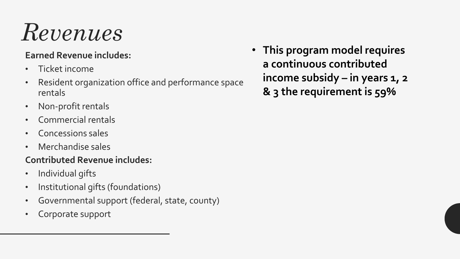# *Revenues*

#### **Earned Revenue includes:**

- Ticket income
- Resident organization office and performance space rentals
- Non-profit rentals
- Commercial rentals
- Concessions sales
- Merchandise sales

#### **Contributed Revenue includes:**

- Individual gifts
- Institutional gifts (foundations)
- Governmental support (federal, state, county)
- Corporate support

• **This program model requires a continuous contributed income subsidy – in years 1, 2 & 3 the requirement is 59%**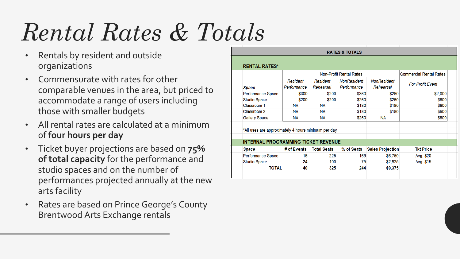# *Rental Rates & Totals*

- Rentals by resident and outside organizations
- Commensurate with rates for other comparable venues in the area, but priced to accommodate a range of users including those with smaller budgets
- All rental rates are calculated at a minimum of **four hours per day**
- Ticket buyer projections are based on **75% of total capacity** for the performance and studio spaces and on the number of performances projected annually at the new arts facility
- Rates are based on Prince George's County Brentwood Arts Exchange rentals

| <b>RATES &amp; TOTALS</b>                           |                                            |                                |                    |             |                         |                                |  |  |  |
|-----------------------------------------------------|--------------------------------------------|--------------------------------|--------------------|-------------|-------------------------|--------------------------------|--|--|--|
|                                                     |                                            |                                |                    |             |                         |                                |  |  |  |
|                                                     |                                            |                                |                    |             |                         |                                |  |  |  |
|                                                     | <b>RENTAL RATES*</b>                       |                                |                    |             |                         |                                |  |  |  |
|                                                     |                                            | <b>Non-Profit Rental Rates</b> |                    |             |                         | <b>Commercial Rental Rates</b> |  |  |  |
|                                                     |                                            | Resident                       | Resident           | NonResident | <b>NonResident</b>      |                                |  |  |  |
|                                                     | Space                                      | Performance                    | Rehearsal          | Performance | Rehearsal               | <b>For Profit Event</b>        |  |  |  |
|                                                     | Performance Space                          | \$300                          | \$200              | \$360       | \$260                   | \$2,000                        |  |  |  |
|                                                     | <b>Studio Space</b>                        | \$200                          | \$200              | \$260       | \$260                   | \$800                          |  |  |  |
|                                                     | Classroom 1                                | <b>NA</b>                      | <b>NA</b>          | \$180       | \$180                   | \$600                          |  |  |  |
|                                                     | Classroom 2                                | <b>NA</b>                      | NА                 | \$180       | \$180                   | \$600                          |  |  |  |
|                                                     | <b>Gallery Space</b>                       | <b>NA</b>                      | <b>NA</b>          | \$260       | <b>NA</b>               | \$800                          |  |  |  |
|                                                     |                                            |                                |                    |             |                         |                                |  |  |  |
| *All uses are approximately 4 hours minimum per day |                                            |                                |                    |             |                         |                                |  |  |  |
|                                                     |                                            |                                |                    |             |                         |                                |  |  |  |
|                                                     | <b>INTERNAL PROGRAMMING TICKET REVENUE</b> |                                |                    |             |                         |                                |  |  |  |
|                                                     | <b>Space</b>                               | # of Events                    | <b>Total Seats</b> | % of Seats  | <b>Sales Projection</b> | <b>Tkt Price</b>               |  |  |  |
|                                                     | Performance Space                          | 16                             | 225                | 169         | \$6,750                 | Avg. \$20                      |  |  |  |
|                                                     | <b>Studio Space</b>                        | 24                             | 100                | 75          | \$2,625                 | Avg. \$15                      |  |  |  |
|                                                     | <b>TOTAL</b>                               | 40                             | 325                | 244         | \$9,375                 |                                |  |  |  |
|                                                     |                                            |                                |                    |             |                         |                                |  |  |  |
|                                                     |                                            |                                |                    |             |                         |                                |  |  |  |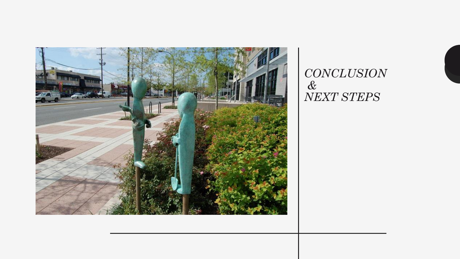

*CONCLUSION & NEXT STEPS*